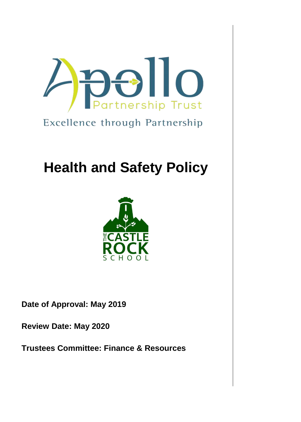

Excellence through Partnership

# **Health and Safety Policy**



**Date of Approval: May 2019**

**Review Date: May 2020**

**Trustees Committee: Finance & Resources**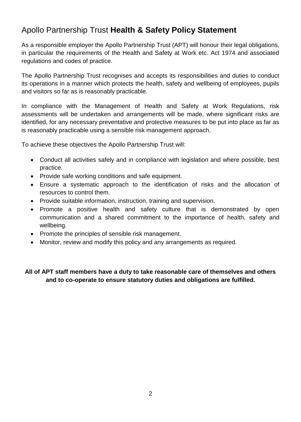# Apollo Partnership Trust **Health & Safety Policy Statement**

As a responsible employer the Apollo Partnership Trust (APT) will honour their legal obligations, in particular the requirements of the Health and Safety at Work etc. Act 1974 and associated regulations and codes of practice.

The Apollo Partnership Trust recognises and accepts its responsibilities and duties to conduct its operations in a manner which protects the health, safety and wellbeing of employees, pupils and visitors so far as is reasonably practicable.

In compliance with the Management of Health and Safety at Work Regulations, risk assessments will be undertaken and arrangements will be made, where significant risks are identified, for any necessary preventative and protective measures to be put into place as far as is reasonably practicable using a sensible risk management approach.

To achieve these objectives the Apollo Partnership Trust will:

- Conduct all activities safely and in compliance with legislation and where possible, best practice.
- Provide safe working conditions and safe equipment.
- Ensure a systematic approach to the identification of risks and the allocation of resources to control them.
- Provide suitable information, instruction, training and supervision.
- Promote a positive health and safety culture that is demonstrated by open communication and a shared commitment to the importance of health, safety and wellbeing.
- Promote the principles of sensible risk management.
- Monitor, review and modify this policy and any arrangements as required.

## **All of APT staff members have a duty to take reasonable care of themselves and others and to co-operate to ensure statutory duties and obligations are fulfilled.**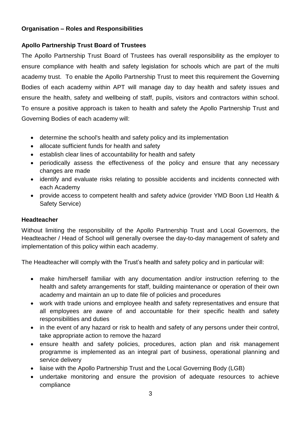#### **Organisation – Roles and Responsibilities**

## **Apollo Partnership Trust Board of Trustees**

The Apollo Partnership Trust Board of Trustees has overall responsibility as the employer to ensure compliance with health and safety legislation for schools which are part of the multi academy trust. To enable the Apollo Partnership Trust to meet this requirement the Governing Bodies of each academy within APT will manage day to day health and safety issues and ensure the health, safety and wellbeing of staff, pupils, visitors and contractors within school. To ensure a positive approach is taken to health and safety the Apollo Partnership Trust and Governing Bodies of each academy will:

- determine the school's health and safety policy and its implementation
- allocate sufficient funds for health and safety
- establish clear lines of accountability for health and safety
- periodically assess the effectiveness of the policy and ensure that any necessary changes are made
- identify and evaluate risks relating to possible accidents and incidents connected with each Academy
- provide access to competent health and safety advice (provider YMD Boon Ltd Health & Safety Service)

## **Headteacher**

Without limiting the responsibility of the Apollo Partnership Trust and Local Governors, the Headteacher / Head of School will generally oversee the day-to-day management of safety and implementation of this policy within each academy.

The Headteacher will comply with the Trust's health and safety policy and in particular will:

- make him/herself familiar with any documentation and/or instruction referring to the health and safety arrangements for staff, building maintenance or operation of their own academy and maintain an up to date file of policies and procedures
- work with trade unions and employee health and safety representatives and ensure that all employees are aware of and accountable for their specific health and safety responsibilities and duties
- in the event of any hazard or risk to health and safety of any persons under their control, take appropriate action to remove the hazard
- ensure health and safety policies, procedures, action plan and risk management programme is implemented as an integral part of business, operational planning and service delivery
- liaise with the Apollo Partnership Trust and the Local Governing Body (LGB)
- undertake monitoring and ensure the provision of adequate resources to achieve compliance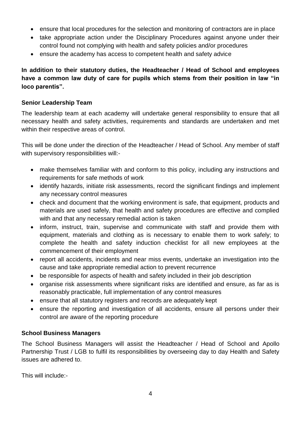- ensure that local procedures for the selection and monitoring of contractors are in place
- take appropriate action under the Disciplinary Procedures against anyone under their control found not complying with health and safety policies and/or procedures
- ensure the academy has access to competent health and safety advice

**In addition to their statutory duties, the Headteacher / Head of School and employees have a common law duty of care for pupils which stems from their position in law "in loco parentis".**

## **Senior Leadership Team**

The leadership team at each academy will undertake general responsibility to ensure that all necessary health and safety activities, requirements and standards are undertaken and met within their respective areas of control.

This will be done under the direction of the Headteacher / Head of School. Any member of staff with supervisory responsibilities will:-

- make themselves familiar with and conform to this policy, including any instructions and requirements for safe methods of work
- identify hazards, initiate risk assessments, record the significant findings and implement any necessary control measures
- check and document that the working environment is safe, that equipment, products and materials are used safely, that health and safety procedures are effective and complied with and that any necessary remedial action is taken
- inform, instruct, train, supervise and communicate with staff and provide them with equipment, materials and clothing as is necessary to enable them to work safely; to complete the health and safety induction checklist for all new employees at the commencement of their employment
- report all accidents, incidents and near miss events, undertake an investigation into the cause and take appropriate remedial action to prevent recurrence
- be responsible for aspects of health and safety included in their job description
- organise risk assessments where significant risks are identified and ensure, as far as is reasonably practicable, full implementation of any control measures
- ensure that all statutory registers and records are adequately kept
- ensure the reporting and investigation of all accidents, ensure all persons under their control are aware of the reporting procedure

## **School Business Managers**

The School Business Managers will assist the Headteacher / Head of School and Apollo Partnership Trust / LGB to fulfil its responsibilities by overseeing day to day Health and Safety issues are adhered to.

This will include:-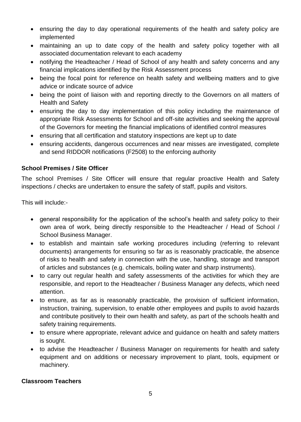- ensuring the day to day operational requirements of the health and safety policy are implemented
- maintaining an up to date copy of the health and safety policy together with all associated documentation relevant to each academy
- notifying the Headteacher / Head of School of any health and safety concerns and any financial implications identified by the Risk Assessment process
- being the focal point for reference on health safety and wellbeing matters and to give advice or indicate source of advice
- being the point of liaison with and reporting directly to the Governors on all matters of Health and Safety
- ensuring the day to day implementation of this policy including the maintenance of appropriate Risk Assessments for School and off-site activities and seeking the approval of the Governors for meeting the financial implications of identified control measures
- ensuring that all certification and statutory inspections are kept up to date
- ensuring accidents, dangerous occurrences and near misses are investigated, complete and send RIDDOR notifications (F2508) to the enforcing authority

## **School Premises / Site Officer**

The school Premises / Site Officer will ensure that regular proactive Health and Safety inspections / checks are undertaken to ensure the safety of staff, pupils and visitors.

This will include:-

- general responsibility for the application of the school's health and safety policy to their own area of work, being directly responsible to the Headteacher / Head of School / School Business Manager.
- to establish and maintain safe working procedures including (referring to relevant documents) arrangements for ensuring so far as is reasonably practicable, the absence of risks to health and safety in connection with the use, handling, storage and transport of articles and substances (e.g. chemicals, boiling water and sharp instruments).
- to carry out regular health and safety assessments of the activities for which they are responsible, and report to the Headteacher / Business Manager any defects, which need attention.
- to ensure, as far as is reasonably practicable, the provision of sufficient information, instruction, training, supervision, to enable other employees and pupils to avoid hazards and contribute positively to their own health and safety, as part of the schools health and safety training requirements.
- to ensure where appropriate, relevant advice and guidance on health and safety matters is sought.
- to advise the Headteacher / Business Manager on requirements for health and safety equipment and on additions or necessary improvement to plant, tools, equipment or machinery.

## **Classroom Teachers**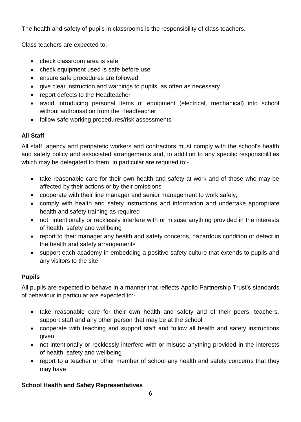The health and safety of pupils in classrooms is the responsibility of class teachers.

Class teachers are expected to:-

- check classroom area is safe
- check equipment used is safe before use
- ensure safe procedures are followed
- give clear instruction and warnings to pupils, as often as necessary
- report defects to the Headteacher
- avoid introducing personal items of equipment (electrical, mechanical) into school without authorisation from the Headteacher
- follow safe working procedures/risk assessments

## **All Staff**

All staff, agency and peripatetic workers and contractors must comply with the school's health and safety policy and associated arrangements and, in addition to any specific responsibilities which may be delegated to them, in particular are required to:-

- take reasonable care for their own health and safety at work and of those who may be affected by their actions or by their omissions
- cooperate with their line manager and senior management to work safely,
- comply with health and safety instructions and information and undertake appropriate health and safety training as required
- not intentionally or recklessly interfere with or misuse anything provided in the interests of health, safety and wellbeing
- report to their manager any health and safety concerns, hazardous condition or defect in the health and safety arrangements
- support each academy in embedding a positive safety culture that extends to pupils and any visitors to the site

## **Pupils**

All pupils are expected to behave in a manner that reflects Apollo Partnership Trust's standards of behaviour in particular are expected to:-

- take reasonable care for their own health and safety and of their peers, teachers, support staff and any other person that may be at the school
- cooperate with teaching and support staff and follow all health and safety instructions given
- not intentionally or recklessly interfere with or misuse anything provided in the interests of health, safety and wellbeing
- report to a teacher or other member of school any health and safety concerns that they may have

## **School Health and Safety Representatives**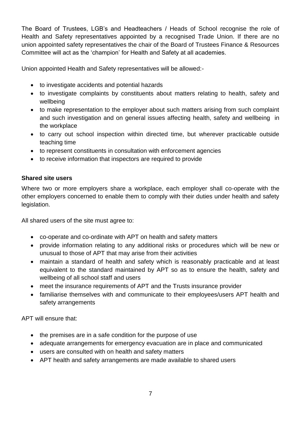The Board of Trustees, LGB's and Headteachers / Heads of School recognise the role of Health and Safety representatives appointed by a recognised Trade Union. If there are no union appointed safety representatives the chair of the Board of Trustees Finance & Resources Committee will act as the 'champion' for Health and Safety at all academies.

Union appointed Health and Safety representatives will be allowed:-

- to investigate accidents and potential hazards
- to investigate complaints by constituents about matters relating to health, safety and wellbeing
- to make representation to the employer about such matters arising from such complaint and such investigation and on general issues affecting health, safety and wellbeing in the workplace
- to carry out school inspection within directed time, but wherever practicable outside teaching time
- to represent constituents in consultation with enforcement agencies
- to receive information that inspectors are required to provide

## **Shared site users**

Where two or more employers share a workplace, each employer shall co-operate with the other employers concerned to enable them to comply with their duties under health and safety legislation.

All shared users of the site must agree to:

- co-operate and co-ordinate with APT on health and safety matters
- provide information relating to any additional risks or procedures which will be new or unusual to those of APT that may arise from their activities
- maintain a standard of health and safety which is reasonably practicable and at least equivalent to the standard maintained by APT so as to ensure the health, safety and wellbeing of all school staff and users
- meet the insurance requirements of APT and the Trusts insurance provider
- familiarise themselves with and communicate to their employees/users APT health and safety arrangements

APT will ensure that:

- the premises are in a safe condition for the purpose of use
- adequate arrangements for emergency evacuation are in place and communicated
- users are consulted with on health and safety matters
- APT health and safety arrangements are made available to shared users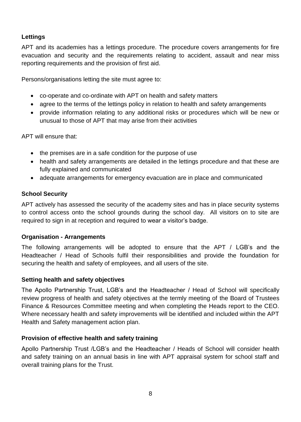## **Lettings**

APT and its academies has a lettings procedure. The procedure covers arrangements for fire evacuation and security and the requirements relating to accident, assault and near miss reporting requirements and the provision of first aid.

Persons/organisations letting the site must agree to:

- co-operate and co-ordinate with APT on health and safety matters
- agree to the terms of the lettings policy in relation to health and safety arrangements
- provide information relating to any additional risks or procedures which will be new or unusual to those of APT that may arise from their activities

APT will ensure that:

- the premises are in a safe condition for the purpose of use
- health and safety arrangements are detailed in the lettings procedure and that these are fully explained and communicated
- adequate arrangements for emergency evacuation are in place and communicated

## **School Security**

APT actively has assessed the security of the academy sites and has in place security systems to control access onto the school grounds during the school day. All visitors on to site are required to sign in at reception and required to wear a visitor's badge.

## **Organisation - Arrangements**

The following arrangements will be adopted to ensure that the APT / LGB's and the Headteacher / Head of Schools fulfil their responsibilities and provide the foundation for securing the health and safety of employees, and all users of the site.

## **Setting health and safety objectives**

The Apollo Partnership Trust, LGB's and the Headteacher / Head of School will specifically review progress of health and safety objectives at the termly meeting of the Board of Trustees Finance & Resources Committee meeting and when completing the Heads report to the CEO. Where necessary health and safety improvements will be identified and included within the APT Health and Safety management action plan.

## **Provision of effective health and safety training**

Apollo Partnership Trust /LGB's and the Headteacher / Heads of School will consider health and safety training on an annual basis in line with APT appraisal system for school staff and overall training plans for the Trust.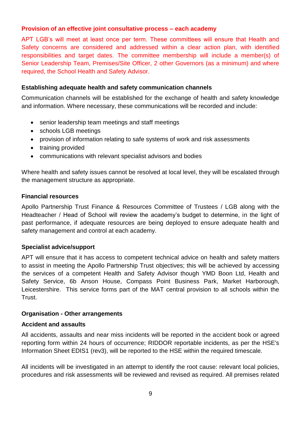## **Provision of an effective joint consultative process – each academy**

APT LGB's will meet at least once per term. These committees will ensure that Health and Safety concerns are considered and addressed within a clear action plan, with identified responsibilities and target dates. The committee membership will include a member(s) of Senior Leadership Team, Premises/Site Officer, 2 other Governors (as a minimum) and where required, the School Health and Safety Advisor.

## **Establishing adequate health and safety communication channels**

Communication channels will be established for the exchange of health and safety knowledge and information. Where necessary, these communications will be recorded and include:

- senior leadership team meetings and staff meetings
- schools LGB meetings
- provision of information relating to safe systems of work and risk assessments
- training provided
- communications with relevant specialist advisors and bodies

Where health and safety issues cannot be resolved at local level, they will be escalated through the management structure as appropriate.

## **Financial resources**

Apollo Partnership Trust Finance & Resources Committee of Trustees / LGB along with the Headteacher / Head of School will review the academy's budget to determine, in the light of past performance, if adequate resources are being deployed to ensure adequate health and safety management and control at each academy.

## **Specialist advice/support**

APT will ensure that it has access to competent technical advice on health and safety matters to assist in meeting the Apollo Partnership Trust objectives; this will be achieved by accessing the services of a competent Health and Safety Advisor though YMD Boon Ltd, Health and Safety Service, 6b Anson House, Compass Point Business Park, Market Harborough, Leicestershire. This service forms part of the MAT central provision to all schools within the Trust.

## **Organisation - Other arrangements**

## **Accident and assaults**

All accidents, assaults and near miss incidents will be reported in the accident book or agreed reporting form within 24 hours of occurrence; RIDDOR reportable incidents, as per the HSE's Information Sheet EDIS1 (rev3), will be reported to the HSE within the required timescale.

All incidents will be investigated in an attempt to identify the root cause: relevant local policies, procedures and risk assessments will be reviewed and revised as required. All premises related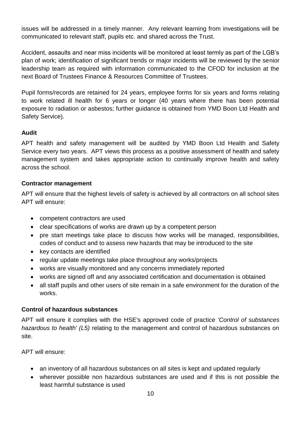issues will be addressed in a timely manner. Any relevant learning from investigations will be communicated to relevant staff, pupils etc. and shared across the Trust.

Accident, assaults and near miss incidents will be monitored at least termly as part of the LGB's plan of work; identification of significant trends or major incidents will be reviewed by the senior leadership team as required with information communicated to the CFOD for inclusion at the next Board of Trustees Finance & Resources Committee of Trustees.

Pupil forms/records are retained for 24 years, employee forms for six years and forms relating to work related ill health for 6 years or longer (40 years where there has been potential exposure to radiation or asbestos; further guidance is obtained from YMD Boon Ltd Health and Safety Service).

## **Audit**

APT health and safety management will be audited by YMD Boon Ltd Health and Safety Service every two years. APT views this process as a positive assessment of health and safety management system and takes appropriate action to continually improve health and safety across the school.

## **Contractor management**

APT will ensure that the highest levels of safety is achieved by all contractors on all school sites APT will ensure:

- competent contractors are used
- clear specifications of works are drawn up by a competent person
- pre start meetings take place to discuss how works will be managed, responsibilities, codes of conduct and to assess new hazards that may be introduced to the site
- key contacts are identified
- regular update meetings take place throughout any works/projects
- works are visually monitored and any concerns immediately reported
- works are signed off and any associated certification and documentation is obtained
- all staff pupils and other users of site remain in a safe environment for the duration of the works.

## **Control of hazardous substances**

APT will ensure it complies with the HSE's approved code of practice *'Control of substances hazardous to health' (L5)* relating to the management and control of hazardous substances on site.

APT will ensure:

- an inventory of all hazardous substances on all sites is kept and updated regularly
- wherever possible non hazardous substances are used and if this is not possible the least harmful substance is used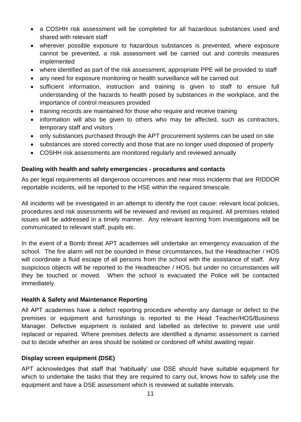- a COSHH risk assessment will be completed for all hazardous substances used and shared with relevant staff
- wherever possible exposure to hazardous substances is prevented, where exposure cannot be prevented, a risk assessment will be carried out and controls measures implemented
- where identified as part of the risk assessment, appropriate PPE will be provided to staff
- any need for exposure monitoring or health surveillance will be carried out
- sufficient information, instruction and training is given to staff to ensure full understanding of the hazards to health posed by substances in the workplace, and the importance of control measures provided
- training records are maintained for those who require and receive training
- information will also be given to others who may be affected, such as contractors, temporary staff and visitors
- only substances purchased through the APT procurement systems can be used on site
- substances are stored correctly and those that are no longer used disposed of properly
- COSHH risk assessments are monitored regularly and reviewed annually

## **Dealing with health and safety emergencies - procedures and contacts**

As per legal requirements all dangerous occurrences and near miss incidents that are RIDDOR reportable incidents, will be reported to the HSE within the required timescale.

All incidents will be investigated in an attempt to identify the root cause: relevant local policies, procedures and risk assessments will be reviewed and revised as required. All premises related issues will be addressed in a timely manner. Any relevant learning from investigations will be communicated to relevant staff, pupils etc.

In the event of a Bomb threat APT academies will undertake an emergency evacuation of the school. The fire alarm will not be sounded in these circumstances, but the Headteacher / HOS will coordinate a fluid escape of all persons from the school with the assistance of staff. Any suspicious objects will be reported to the Headteacher / HOS, but under no circumstances will they be touched or moved. When the school is evacuated the Police will be contacted immediately.

## **Health & Safety and Maintenance Reporting**

All APT academies have a defect reporting procedure whereby any damage or defect to the premises or equipment and furnishings is reported to the Head Teacher/HOS/Business Manager. Defective equipment is isolated and labelled as defective to prevent use until replaced or repaired. Where premises defects are identified a dynamic assessment is carried out to decide whether an area should be isolated or cordoned off whilst awaiting repair.

## **Display screen equipment (DSE)**

APT acknowledges that staff that 'habitually' use DSE should have suitable equipment for which to undertake the tasks that they are required to carry out, knows how to safely use the equipment and have a DSE assessment which is reviewed at suitable intervals.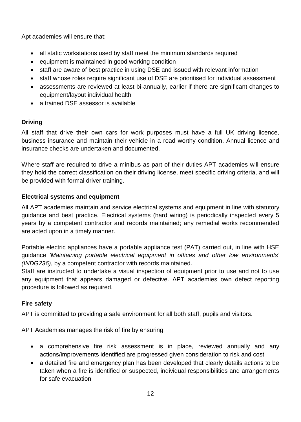Apt academies will ensure that:

- all static workstations used by staff meet the minimum standards required
- equipment is maintained in good working condition
- staff are aware of best practice in using DSE and issued with relevant information
- staff whose roles require significant use of DSE are prioritised for individual assessment
- assessments are reviewed at least bi-annually, earlier if there are significant changes to equipment/layout individual health
- a trained DSE assessor is available

## **Driving**

All staff that drive their own cars for work purposes must have a full UK driving licence, business insurance and maintain their vehicle in a road worthy condition. Annual licence and insurance checks are undertaken and documented.

Where staff are required to drive a minibus as part of their duties APT academies will ensure they hold the correct classification on their driving license, meet specific driving criteria, and will be provided with formal driver training.

## **Electrical systems and equipment**

All APT academies maintain and service electrical systems and equipment in line with statutory guidance and best practice. Electrical systems (hard wiring) is periodically inspected every 5 years by a competent contractor and records maintained; any remedial works recommended are acted upon in a timely manner.

Portable electric appliances have a portable appliance test (PAT) carried out, in line with HSE guidance *'Maintaining portable electrical equipment in offices and other low environments' (INDG236)*, by a competent contractor with records maintained.

Staff are instructed to undertake a visual inspection of equipment prior to use and not to use any equipment that appears damaged or defective. APT academies own defect reporting procedure is followed as required.

## **Fire safety**

APT is committed to providing a safe environment for all both staff, pupils and visitors.

APT Academies manages the risk of fire by ensuring:

- a comprehensive fire risk assessment is in place, reviewed annually and any actions/improvements identified are progressed given consideration to risk and cost
- a detailed fire and emergency plan has been developed that clearly details actions to be taken when a fire is identified or suspected, individual responsibilities and arrangements for safe evacuation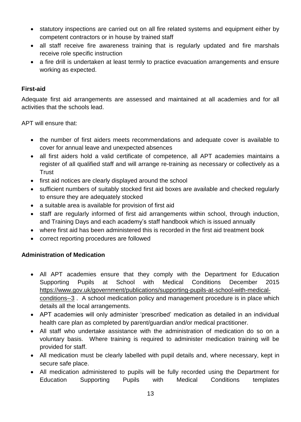- statutory inspections are carried out on all fire related systems and equipment either by competent contractors or in house by trained staff
- all staff receive fire awareness training that is regularly updated and fire marshals receive role specific instruction
- a fire drill is undertaken at least termly to practice evacuation arrangements and ensure working as expected.

#### **First-aid**

Adequate first aid arrangements are assessed and maintained at all academies and for all activities that the schools lead.

APT will ensure that:

- the number of first aiders meets recommendations and adequate cover is available to cover for annual leave and unexpected absences
- all first aiders hold a valid certificate of competence, all APT academies maintains a register of all qualified staff and will arrange re-training as necessary or collectively as a **Trust**
- first aid notices are clearly displayed around the school
- sufficient numbers of suitably stocked first aid boxes are available and checked regularly to ensure they are adequately stocked
- a suitable area is available for provision of first aid
- staff are regularly informed of first aid arrangements within school, through induction, and Training Days and each academy's staff handbook which is issued annually
- where first aid has been administered this is recorded in the first aid treatment book
- correct reporting procedures are followed

## **Administration of Medication**

- All APT academies ensure that they comply with the Department for Education Supporting Pupils at School with Medical Conditions December 2015 [https://www.gov.uk/government/publications/supporting-pupils-at-school-with-medical](https://www.gov.uk/government/publications/supporting-pupils-at-school-with-medical-conditions--3)[conditions--3](https://www.gov.uk/government/publications/supporting-pupils-at-school-with-medical-conditions--3) . A school medication policy and management procedure is in place which details all the local arrangements.
- APT academies will only administer 'prescribed' medication as detailed in an individual health care plan as completed by parent/guardian and/or medical practitioner.
- All staff who undertake assistance with the administration of medication do so on a voluntary basis. Where training is required to administer medication training will be provided for staff.
- All medication must be clearly labelled with pupil details and, where necessary, kept in secure safe place.
- All medication administered to pupils will be fully recorded using the Department for Education Supporting Pupils with Medical Conditions templates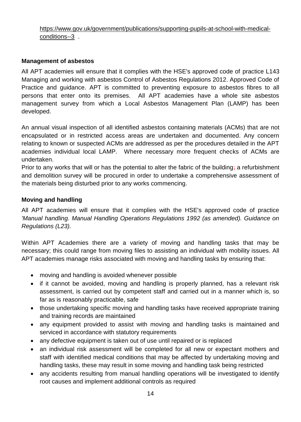## [https://www.gov.uk/government/publications/supporting-pupils-at-school-with-medical](https://www.gov.uk/government/publications/supporting-pupils-at-school-with-medical-conditions--3)[conditions--3](https://www.gov.uk/government/publications/supporting-pupils-at-school-with-medical-conditions--3) .

## **Management of asbestos**

All APT academies will ensure that it complies with the HSE's approved code of practice [L143](http://www.hse.gov.uk/pubns/books/l143.htm)  [Managing and working with asbestos Control of Asbestos Regulations 2012. Approved Code of](http://www.hse.gov.uk/pubns/books/l143.htm)  [Practice and guidance.](http://www.hse.gov.uk/pubns/books/l143.htm) APT is committed to preventing exposure to asbestos fibres to all persons that enter onto its premises. All APT academies have a whole site asbestos management survey from which a Local Asbestos Management Plan (LAMP) has been developed.

An annual visual inspection of all identified asbestos containing materials (ACMs) that are not encapsulated or in restricted access areas are undertaken and documented. Any concern relating to known or suspected ACMs are addressed as per the procedures detailed in the APT academies individual local LAMP. Where necessary more frequent checks of ACMs are undertaken.

Prior to any works that will or has the potential to alter the fabric of the building; a refurbishment and demolition survey will be procured in order to undertake a comprehensive assessment of the materials being disturbed prior to any works commencing.

## **Moving and handling**

All APT academies will ensure that it complies with the HSE's approved code of practice *'Manual handling. Manual Handling Operations Regulations 1992 (as amended). Guidance on Regulations (L23).*

Within APT Academies there are a variety of moving and handling tasks that may be necessary; this could range from moving files to assisting an individual with mobility issues. All APT academies manage risks associated with moving and handling tasks by ensuring that:

- moving and handling is avoided whenever possible
- if it cannot be avoided, moving and handling is properly planned, has a relevant risk assessment, is carried out by competent staff and carried out in a manner which is, so far as is reasonably practicable, safe
- those undertaking specific moving and handling tasks have received appropriate training and training records are maintained
- any equipment provided to assist with moving and handling tasks is maintained and serviced in accordance with statutory requirements
- any defective equipment is taken out of use until repaired or is replaced
- an individual risk assessment will be completed for all new or expectant mothers and staff with identified medical conditions that may be affected by undertaking moving and handling tasks, these may result in some moving and handling task being restricted
- any accidents resulting from manual handling operations will be investigated to identify root causes and implement additional controls as required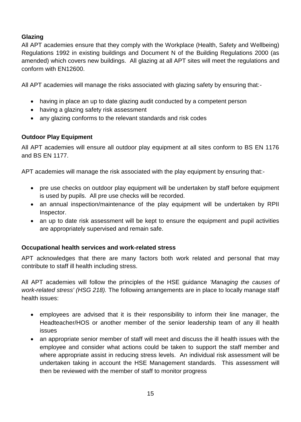## **Glazing**

All APT academies ensure that they comply with the Workplace (Health, Safety and Wellbeing) Regulations 1992 in existing buildings and Document N of the Building Regulations 2000 (as amended) which covers new buildings. All glazing at all APT sites will meet the regulations and conform with EN12600.

All APT academies will manage the risks associated with glazing safety by ensuring that:-

- having in place an up to date glazing audit conducted by a competent person
- having a glazing safety risk assessment
- any glazing conforms to the relevant standards and risk codes

## **Outdoor Play Equipment**

All APT academies will ensure all outdoor play equipment at all sites conform to BS EN 1176 and BS EN 1177.

APT academies will manage the risk associated with the play equipment by ensuring that:-

- pre use checks on outdoor play equipment will be undertaken by staff before equipment is used by pupils. All pre use checks will be recorded.
- an annual inspection/maintenance of the play equipment will be undertaken by RPII Inspector.
- an up to date risk assessment will be kept to ensure the equipment and pupil activities are appropriately supervised and remain safe.

## **Occupational health services and work-related stress**

APT acknowledges that there are many factors both work related and personal that may contribute to staff ill health including stress.

All APT academies will follow the principles of the HSE guidance *'Managing the causes of work-related stress' (HSG 218).* The following arrangements are in place to locally manage staff health issues:

- employees are advised that it is their responsibility to inform their line manager, the Headteacher/HOS or another member of the senior leadership team of any ill health issues
- an appropriate senior member of staff will meet and discuss the ill health issues with the employee and consider what actions could be taken to support the staff member and where appropriate assist in reducing stress levels. An individual risk assessment will be undertaken taking in account the HSE Management standards. This assessment will then be reviewed with the member of staff to monitor progress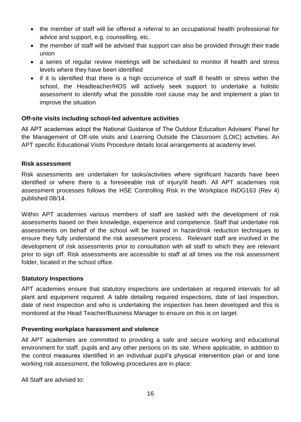- the member of staff will be offered a referral to an occupational health professional for advice and support, e.g. counselling, etc.
- the member of staff will be advised that support can also be provided through their trade union
- a series of regular review meetings will be scheduled to monitor ill health and stress levels where they have been identified
- if it is identified that there is a high occurrence of staff ill health or stress within the school, the Headteacher/HOS will actively seek support to undertake a holistic assessment to identify what the possible root cause may be and implement a plan to improve the situation

## **Off-site visits including school-led adventure activities**

All APT academies adopt the National Guidance of The Outdoor Education Advisers' Panel for the Management of Off-site visits and Learning Outside the Classroom (LOtC) activities. An APT specific Educational Visits Procedure details local arrangements at academy level.

#### **Risk assessment**

Risk assessments are undertaken for tasks/activities where significant hazards have been identified or where there is a foreseeable risk of injury/ill heath. All APT academies risk assessment processes follows the HSE Controlling Risk in the Workplace INDG163 (Rev 4) published 08/14.

Within APT academies various members of staff are tasked with the development of risk assessments based on their knowledge, experience and competence. Staff that undertake risk assessments on behalf of the school will be trained in hazard/risk reduction techniques to ensure they fully understand the risk assessment process. Relevant staff are involved in the development of risk assessments prior to consultation with all staff to which they are relevant prior to sign off. Risk assessments are accessible to staff at all times via the risk assessment folder, located in the school office.

#### **Statutory Inspections**

APT academies ensure that statutory inspections are undertaken at required intervals for all plant and equipment required. A table detailing required inspections, date of last inspection, date of next inspection and who is undertaking the inspection has been developed and this is monitored at the Head Teacher/Business Manager to ensure on this is on target.

## **Preventing workplace harassment and violence**

All APT academies are committed to providing a safe and secure working and educational environment for staff, pupils and any other persons on its site. Where applicable, in addition to the control measures identified in an individual pupil's physical intervention plan or and lone working risk assessment, the following procedures are in place:

All Staff are advised to: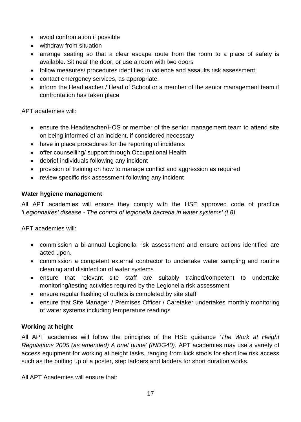- avoid confrontation if possible
- withdraw from situation
- arrange seating so that a clear escape route from the room to a place of safety is available. Sit near the door, or use a room with two doors
- follow measures/ procedures identified in violence and assaults risk assessment
- contact emergency services, as appropriate.
- inform the Headteacher / Head of School or a member of the senior management team if confrontation has taken place

APT academies will:

- ensure the Headteacher/HOS or member of the senior management team to attend site on being informed of an incident, if considered necessary
- have in place procedures for the reporting of incidents
- offer counselling/ support through Occupational Health
- debrief individuals following any incident
- provision of training on how to manage conflict and aggression as required
- review specific risk assessment following any incident

#### **Water hygiene management**

All APT academies will ensure they comply with the HSE approved code of practice *'Legionnaires' disease - The control of legionella bacteria in water systems' (L8).*

APT academies will:

- commission a bi-annual Legionella risk assessment and ensure actions identified are acted upon.
- commission a competent external contractor to undertake water sampling and routine cleaning and disinfection of water systems
- ensure that relevant site staff are suitably trained/competent to undertake monitoring/testing activities required by the Legionella risk assessment
- ensure regular flushing of outlets is completed by site staff
- ensure that Site Manager / Premises Officer / Caretaker undertakes monthly monitoring of water systems including temperature readings

## **Working at height**

All APT academies will follow the principles of the HSE guidance *'The Work at Height Regulations 2005 (as amended) A brief guide' (INDG40).* APT academies may use a variety of access equipment for working at height tasks, ranging from kick stools for short low risk access such as the putting up of a poster, step ladders and ladders for short duration works.

All APT Academies will ensure that: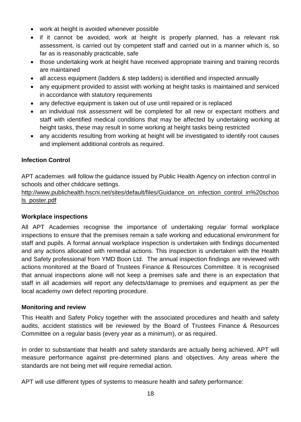- work at height is avoided whenever possible
- if it cannot be avoided, work at height is properly planned, has a relevant risk assessment, is carried out by competent staff and carried out in a manner which is, so far as is reasonably practicable, safe
- those undertaking work at height have received appropriate training and training records are maintained
- all access equipment (ladders & step ladders) is identified and inspected annually
- any equipment provided to assist with working at height tasks is maintained and serviced in accordance with statutory requirements
- any defective equipment is taken out of use until repaired or is replaced
- an individual risk assessment will be completed for all new or expectant mothers and staff with identified medical conditions that may be affected by undertaking working at height tasks, these may result in some working at height tasks being restricted
- any accidents resulting from working at height will be investigated to identify root causes and implement additional controls as required.

## **Infection Control**

APT academies will follow the guidance issued by Public Health Agency on infection control in schools and other childcare settings.

[http://www.publichealth.hscni.net/sites/default/files/Guidance\\_on\\_infection\\_control\\_in%20schoo](http://www.publichealth.hscni.net/sites/default/files/Guidance_on_infection_control_in%20schools_poster.pdf) [ls\\_poster.pdf](http://www.publichealth.hscni.net/sites/default/files/Guidance_on_infection_control_in%20schools_poster.pdf)

## **Workplace inspections**

All APT Academies recognise the importance of undertaking regular formal workplace inspections to ensure that the premises remain a safe working and educational environment for staff and pupils. A formal annual workplace inspection is undertaken with findings documented and any actions allocated with remedial actions. This inspection is undertaken with the Health and Safety professional from YMD Boon Ltd. The annual inspection findings are reviewed with actions monitored at the Board of Trustees Finance & Resources Committee. It is recognised that annual inspections alone will not keep a premises safe and there is an expectation that staff in all academies will report any defects/damage to premises and equipment as per the local academy own defect reporting procedure.

## **Monitoring and review**

This Health and Safety Policy together with the associated procedures and health and safety audits, accident statistics will be reviewed by the Board of Trustees Finance & Resources Committee on a regular basis (every year as a minimum), or as required.

In order to substantiate that health and safety standards are actually being achieved, APT will measure performance against pre-determined plans and objectives. Any areas where the standards are not being met will require remedial action.

APT will use different types of systems to measure health and safety performance: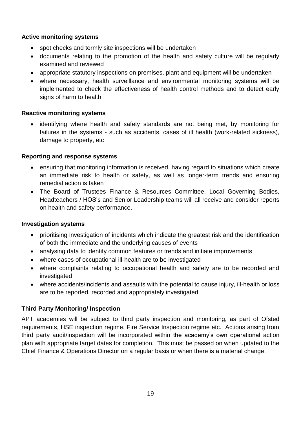## **Active monitoring systems**

- spot checks and termly site inspections will be undertaken
- documents relating to the promotion of the health and safety culture will be regularly examined and reviewed
- appropriate statutory inspections on premises, plant and equipment will be undertaken
- where necessary, health surveillance and environmental monitoring systems will be implemented to check the effectiveness of health control methods and to detect early signs of harm to health

## **Reactive monitoring systems**

 identifying where health and safety standards are not being met, by monitoring for failures in the systems - such as accidents, cases of ill health (work-related sickness), damage to property, etc

## **Reporting and response systems**

- ensuring that monitoring information is received, having regard to situations which create an immediate risk to health or safety, as well as longer-term trends and ensuring remedial action is taken
- The Board of Trustees Finance & Resources Committee, Local Governing Bodies, Headteachers / HOS's and Senior Leadership teams will all receive and consider reports on health and safety performance.

## **Investigation systems**

- prioritising investigation of incidents which indicate the greatest risk and the identification of both the immediate and the underlying causes of events
- analysing data to identify common features or trends and initiate improvements
- where cases of occupational ill-health are to be investigated
- where complaints relating to occupational health and safety are to be recorded and investigated
- where accidents/incidents and assaults with the potential to cause injury, ill-health or loss are to be reported, recorded and appropriately investigated

## **Third Party Monitoring/ Inspection**

APT academies will be subject to third party inspection and monitoring, as part of Ofsted requirements, HSE inspection regime, Fire Service Inspection regime etc. Actions arising from third party audit/inspection will be incorporated within the academy's own operational action plan with appropriate target dates for completion. This must be passed on when updated to the Chief Finance & Operations Director on a regular basis or when there is a material change.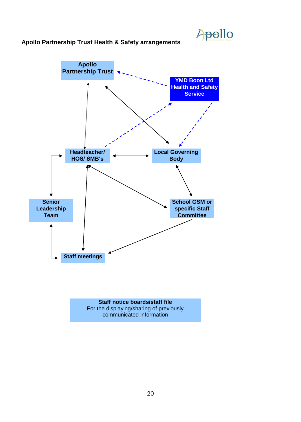

#### **Apollo Partnership Trust Health & Safety arrangements**



communicated information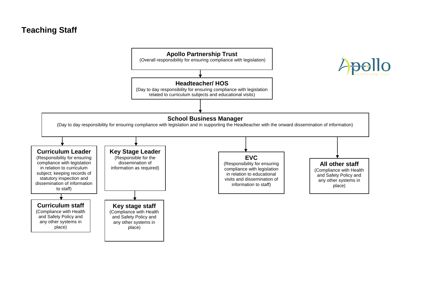# **Teaching Staff**

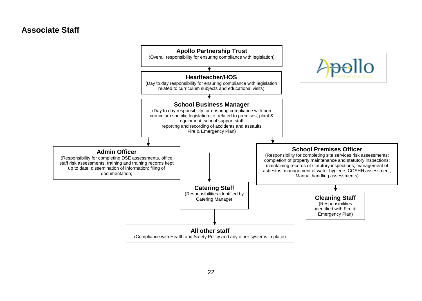## **Associate Staff**